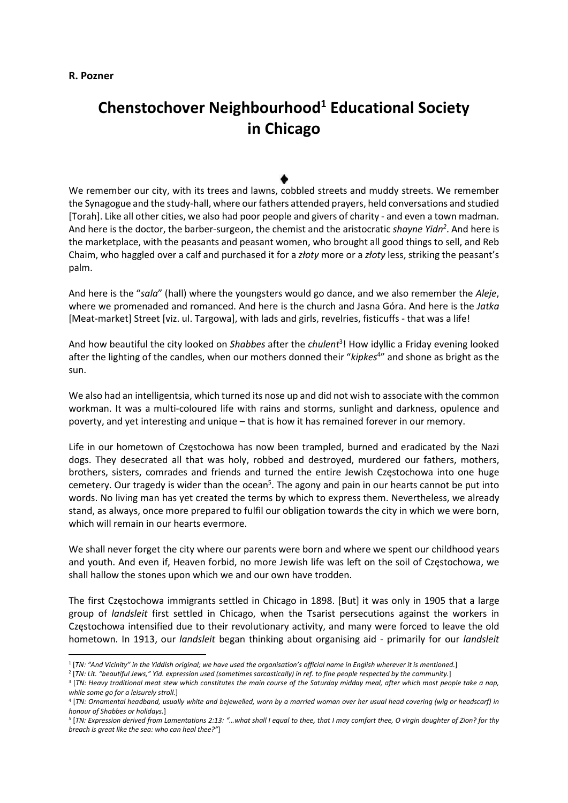## R. Pozner

## Chenstochover Neighbourhood<sup>1</sup> Educational Society in Chicago

We remember our city, with its trees and lawns, cobbled streets and muddy streets. We remember the Synagogue and the study-hall, where our fathers attended prayers, held conversations and studied [Torah]. Like all other cities, we also had poor people and givers of charity - and even a town madman. And here is the doctor, the barber-surgeon, the chemist and the aristocratic shayne Yidn<sup>2</sup>. And here is the marketplace, with the peasants and peasant women, who brought all good things to sell, and Reb Chaim, who haggled over a calf and purchased it for a złoty more or a złoty less, striking the peasant's palm.

And here is the "sala" (hall) where the youngsters would go dance, and we also remember the Aleje, where we promenaded and romanced. And here is the church and Jasna Góra. And here is the Jatka [Meat-market] Street [viz. ul. Targowa], with lads and girls, revelries, fisticuffs - that was a life!

And how beautiful the city looked on Shabbes after the chulent<sup>3</sup>! How idyllic a Friday evening looked after the lighting of the candles, when our mothers donned their "kipkes<sup>4</sup>" and shone as bright as the sun.

We also had an intelligentsia, which turned its nose up and did not wish to associate with the common workman. It was a multi-coloured life with rains and storms, sunlight and darkness, opulence and poverty, and yet interesting and unique – that is how it has remained forever in our memory.

Life in our hometown of Częstochowa has now been trampled, burned and eradicated by the Nazi dogs. They desecrated all that was holy, robbed and destroyed, murdered our fathers, mothers, brothers, sisters, comrades and friends and turned the entire Jewish Częstochowa into one huge cemetery. Our tragedy is wider than the ocean<sup>5</sup>. The agony and pain in our hearts cannot be put into words. No living man has yet created the terms by which to express them. Nevertheless, we already stand, as always, once more prepared to fulfil our obligation towards the city in which we were born, which will remain in our hearts evermore.

We shall never forget the city where our parents were born and where we spent our childhood years and youth. And even if, Heaven forbid, no more Jewish life was left on the soil of Częstochowa, we shall hallow the stones upon which we and our own have trodden.

The first Częstochowa immigrants settled in Chicago in 1898. [But] it was only in 1905 that a large group of landsleit first settled in Chicago, when the Tsarist persecutions against the workers in Częstochowa intensified due to their revolutionary activity, and many were forced to leave the old hometown. In 1913, our *landsleit* began thinking about organising aid - primarily for our *landsleit* 

<sup>1</sup> [TN: "And Vicinity" in the Yiddish original; we have used the organisation's official name in English wherever it is mentioned.]

<sup>2</sup> [TN: Lit. "beautiful Jews," Yid. expression used (sometimes sarcastically) in ref. to fine people respected by the community.]

<sup>3</sup> [TN: Heavy traditional meat stew which constitutes the main course of the Saturday midday meal, after which most people take a nap, while some go for a leisurely stroll.]

<sup>4</sup> [TN: Ornamental headband, usually white and bejewelled, worn by a married woman over her usual head covering (wig or headscarf) in honour of Shabbes or holidays.]

<sup>5</sup> [TN: Expression derived from Lamentations 2:13: "…what shall I equal to thee, that I may comfort thee, O virgin daughter of Zion? for thy breach is great like the sea: who can heal thee?"]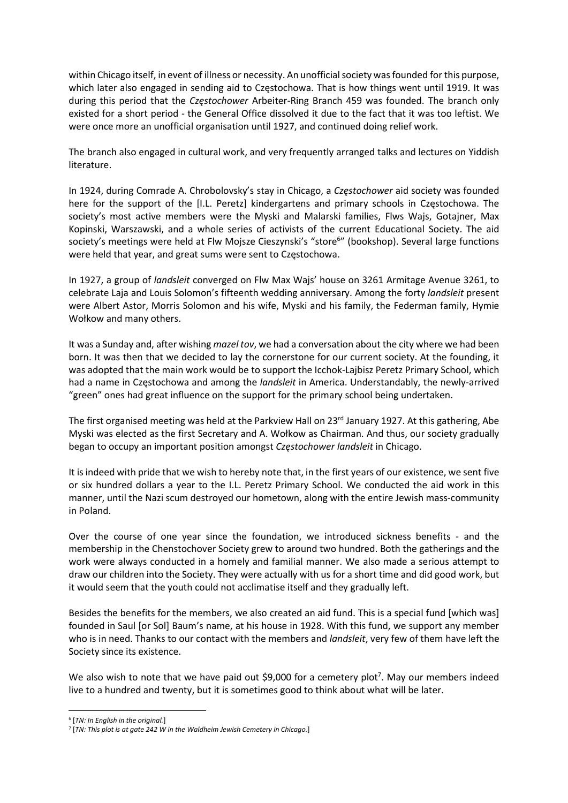within Chicago itself, in event of illness or necessity. An unofficial society was founded for this purpose, which later also engaged in sending aid to Częstochowa. That is how things went until 1919. It was during this period that the Czestochower Arbeiter-Ring Branch 459 was founded. The branch only existed for a short period - the General Office dissolved it due to the fact that it was too leftist. We were once more an unofficial organisation until 1927, and continued doing relief work.

The branch also engaged in cultural work, and very frequently arranged talks and lectures on Yiddish literature.

In 1924, during Comrade A. Chrobolovsky's stay in Chicago, a Częstochower aid society was founded here for the support of the [I.L. Peretz] kindergartens and primary schools in Częstochowa. The society's most active members were the Myski and Malarski families, Flws Wajs, Gotajner, Max Kopinski, Warszawski, and a whole series of activists of the current Educational Society. The aid society's meetings were held at Flw Mojsze Cieszynski's "store<sup>6"</sup> (bookshop). Several large functions were held that year, and great sums were sent to Częstochowa.

In 1927, a group of landsleit converged on Flw Max Wajs' house on 3261 Armitage Avenue 3261, to celebrate Laja and Louis Solomon's fifteenth wedding anniversary. Among the forty landsleit present were Albert Astor, Morris Solomon and his wife, Myski and his family, the Federman family, Hymie Wołkow and many others.

It was a Sunday and, after wishing mazel tov, we had a conversation about the city where we had been born. It was then that we decided to lay the cornerstone for our current society. At the founding, it was adopted that the main work would be to support the Icchok-Lajbisz Peretz Primary School, which had a name in Częstochowa and among the *landsleit* in America. Understandably, the newly-arrived "green" ones had great influence on the support for the primary school being undertaken.

The first organised meeting was held at the Parkview Hall on 23<sup>rd</sup> January 1927. At this gathering, Abe Myski was elected as the first Secretary and A. Wołkow as Chairman. And thus, our society gradually began to occupy an important position amongst Częstochower landsleit in Chicago.

It is indeed with pride that we wish to hereby note that, in the first years of our existence, we sent five or six hundred dollars a year to the I.L. Peretz Primary School. We conducted the aid work in this manner, until the Nazi scum destroyed our hometown, along with the entire Jewish mass-community in Poland.

Over the course of one year since the foundation, we introduced sickness benefits - and the membership in the Chenstochover Society grew to around two hundred. Both the gatherings and the work were always conducted in a homely and familial manner. We also made a serious attempt to draw our children into the Society. They were actually with us for a short time and did good work, but it would seem that the youth could not acclimatise itself and they gradually left.

Besides the benefits for the members, we also created an aid fund. This is a special fund [which was] founded in Saul [or Sol] Baum's name, at his house in 1928. With this fund, we support any member who is in need. Thanks to our contact with the members and *landsleit*, very few of them have left the Society since its existence.

We also wish to note that we have paid out \$9,000 for a cemetery plot<sup>7</sup>. May our members indeed live to a hundred and twenty, but it is sometimes good to think about what will be later.

<sup>&</sup>lt;sup>6</sup> [TN: In English in the original.]

 $7$  [TN: This plot is at gate 242 W in the Waldheim Jewish Cemetery in Chicago.]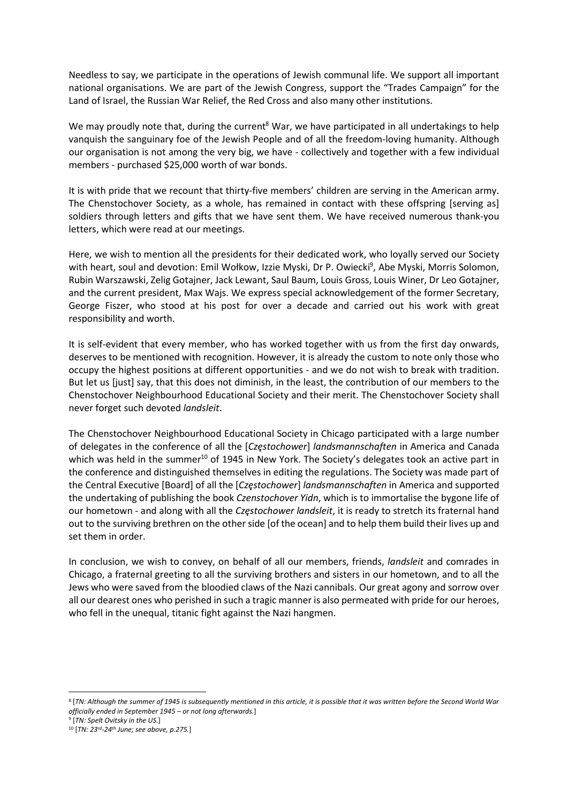Needless to say, we participate in the operations of Jewish communal life. We support all important national organisations. We are part of the Jewish Congress, support the "Trades Campaign" for the Land of Israel, the Russian War Relief, the Red Cross and also many other institutions.

We may proudly note that, during the current<sup>8</sup> War, we have participated in all undertakings to help vanquish the sanguinary foe of the Jewish People and of all the freedom-loving humanity. Although our organisation is not among the very big, we have - collectively and together with a few individual members - purchased \$25,000 worth of war bonds.

It is with pride that we recount that thirty-five members' children are serving in the American army. The Chenstochover Society, as a whole, has remained in contact with these offspring [serving as] soldiers through letters and gifts that we have sent them. We have received numerous thank-you letters, which were read at our meetings.

Here, we wish to mention all the presidents for their dedicated work, who loyally served our Society with heart, soul and devotion: Emil Wołkow, Izzie Myski, Dr P. Owiecki<sup>9</sup>, Abe Myski, Morris Solomon, Rubin Warszawski, Zelig Gotajner, Jack Lewant, Saul Baum, Louis Gross, Louis Winer, Dr Leo Gotajner, and the current president, Max Wajs. We express special acknowledgement of the former Secretary, George Fiszer, who stood at his post for over a decade and carried out his work with great responsibility and worth.

It is self-evident that every member, who has worked together with us from the first day onwards, deserves to be mentioned with recognition. However, it is already the custom to note only those who occupy the highest positions at different opportunities - and we do not wish to break with tradition. But let us [just] say, that this does not diminish, in the least, the contribution of our members to the Chenstochover Neighbourhood Educational Society and their merit. The Chenstochover Society shall never forget such devoted landsleit.

The Chenstochover Neighbourhood Educational Society in Chicago participated with a large number of delegates in the conference of all the [Czestochower] landsmannschaften in America and Canada which was held in the summer<sup>10</sup> of 1945 in New York. The Society's delegates took an active part in the conference and distinguished themselves in editing the regulations. The Society was made part of the Central Executive [Board] of all the [Częstochower] landsmannschaften in America and supported the undertaking of publishing the book Czenstochover Yidn, which is to immortalise the bygone life of our hometown - and along with all the Częstochower landsleit, it is ready to stretch its fraternal hand out to the surviving brethren on the other side [of the ocean] and to help them build their lives up and set them in order.

In conclusion, we wish to convey, on behalf of all our members, friends, landsleit and comrades in Chicago, a fraternal greeting to all the surviving brothers and sisters in our hometown, and to all the Jews who were saved from the bloodied claws of the Nazi cannibals. Our great agony and sorrow over all our dearest ones who perished in such a tragic manner is also permeated with pride for our heroes, who fell in the unequal, titanic fight against the Nazi hangmen.

<sup>8</sup> [TN: Although the summer of 1945 is subsequently mentioned in this article, it is possible that it was written before the Second World War officially ended in September 1945 – or not long afterwards.]

<sup>&</sup>lt;sup>9</sup> [TN: Spelt Ovitsky in the US.]

 $10$  [TN: 23<sup>rd</sup>-24<sup>th</sup> June; see above, p.275.]